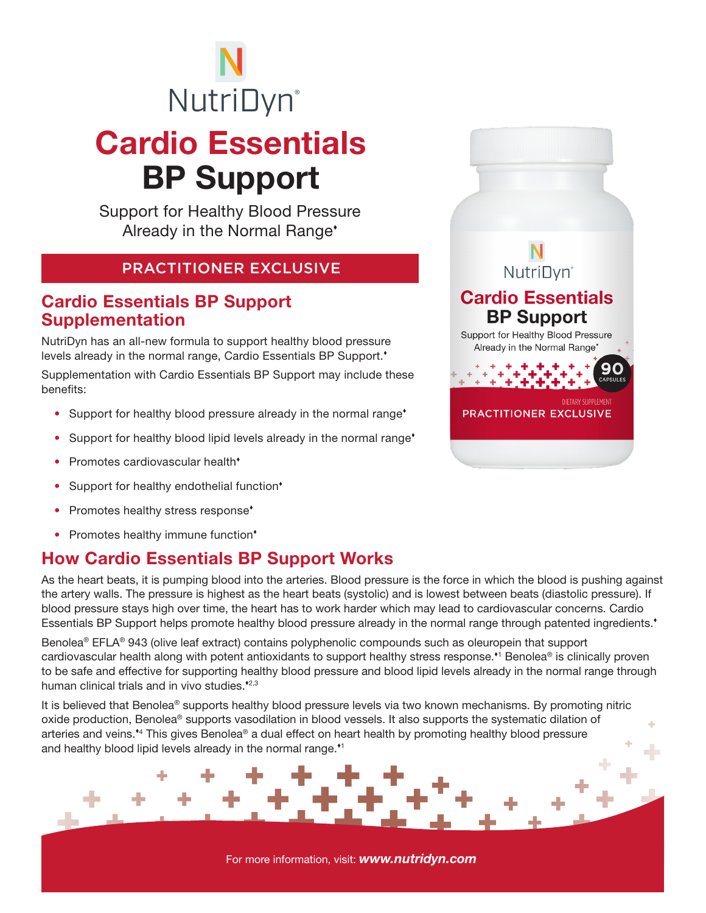# Cardio Essentials BP Support **NutriDyn**®

Support for Healthy Blood Pressure Already in the Normal Range

#### PRACTITIONER EXCLUSIVE

#### Cardio Essentials BP Support Supplementation

NutriDyn has an all-new formula to support healthy blood pressure levels already in the normal range, Cardio Essentials BP Support.

Supplementation with Cardio Essentials BP Support may include these benefits:

- Support for healthy blood pressure already in the normal range<sup>\*</sup>
- Support for healthy blood lipid levels already in the normal range<sup>\*</sup>
- Promotes cardiovascular health<sup>\*</sup>
- Support for healthy endothelial function<sup>\*</sup>
- Promotes healthy stress response<sup>\*</sup>
- Promotes healthy immune function\*

### How Cardio Essentials BP Support Works

As the heart beats, it is pumping blood into the arteries. Blood pressure is the force in which the blood is pushing against the artery walls. The pressure is highest as the heart beats (systolic) and is lowest between beats (diastolic pressure). If blood pressure stays high over time, the heart has to work harder which may lead to cardiovascular concerns. Cardio Essentials BP Support helps promote healthy blood pressure already in the normal range through patented ingredients.

Benolea® EFLA® 943 (olive leaf extract) contains polyphenolic compounds such as oleuropein that support cardiovascular health along with potent antioxidants to support healthy stress response.<sup>\*1</sup> Benolea® is clinically proven to be safe and effective for supporting healthy blood pressure and blood lipid levels already in the normal range through human clinical trials and in vivo studies. $2,3$ 

It is believed that Benolea® supports healthy blood pressure levels via two known mechanisms. By promoting nitric oxide production, Benolea® supports vasodilation in blood vessels. It also supports the systematic dilation of arteries and veins.<sup>\*4</sup> This gives Benolea® a dual effect on heart health by promoting healthy blood pressure and healthy blood lipid levels already in the normal range.\*1